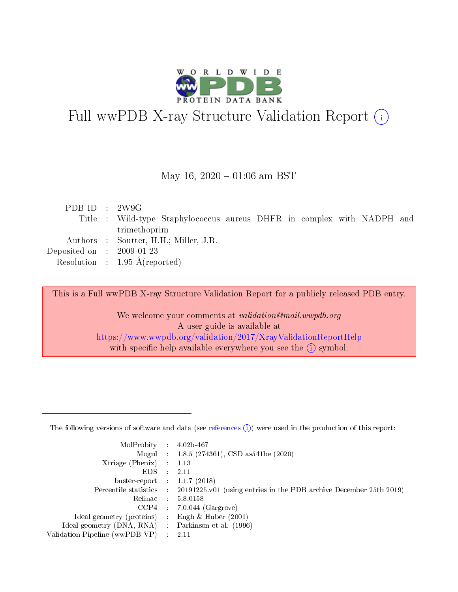

# Full wwPDB X-ray Structure Validation Report (i)

#### May 16,  $2020 - 01:06$  am BST

| PDB ID : 2W9G                        |                                                                        |
|--------------------------------------|------------------------------------------------------------------------|
|                                      | Title : Wild-type Staphylococcus aureus DHFR in complex with NADPH and |
|                                      | trimethoprim                                                           |
|                                      | Authors : Soutter, H.H.; Miller, J.R.                                  |
| Deposited on $\therefore$ 2009-01-23 |                                                                        |
|                                      | Resolution : $1.95 \text{ Å}$ (reported)                               |
|                                      |                                                                        |

This is a Full wwPDB X-ray Structure Validation Report for a publicly released PDB entry.

We welcome your comments at validation@mail.wwpdb.org A user guide is available at <https://www.wwpdb.org/validation/2017/XrayValidationReportHelp> with specific help available everywhere you see the  $(i)$  symbol.

The following versions of software and data (see [references](https://www.wwpdb.org/validation/2017/XrayValidationReportHelp#references)  $(1)$ ) were used in the production of this report:

| MolProbity :                   |               | $4.02b - 467$                                                               |
|--------------------------------|---------------|-----------------------------------------------------------------------------|
|                                |               | Mogul : $1.8.5$ (274361), CSD as 541be (2020)                               |
| Xtriage (Phenix)               | $\mathcal{L}$ | 1.13                                                                        |
| EDS.                           |               | 2.11                                                                        |
| buster-report : $1.1.7$ (2018) |               |                                                                             |
| Percentile statistics :        |               | $20191225 \text{v}01$ (using entries in the PDB archive December 25th 2019) |
| Refmac :                       |               | 5.8.0158                                                                    |
| CCP4                           |               | $7.0.044$ (Gargrove)                                                        |
| Ideal geometry (proteins) :    |               | Engh & Huber $(2001)$                                                       |
| Ideal geometry (DNA, RNA) :    |               | Parkinson et al. (1996)                                                     |
| Validation Pipeline (wwPDB-VP) | $\mathcal{L}$ | 2.11                                                                        |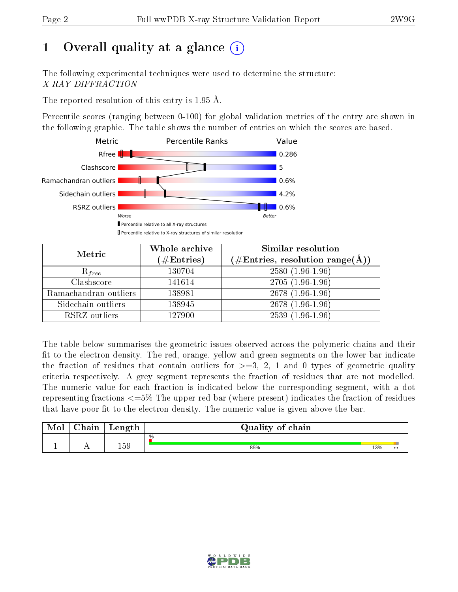# 1 [O](https://www.wwpdb.org/validation/2017/XrayValidationReportHelp#overall_quality)verall quality at a glance  $(i)$

The following experimental techniques were used to determine the structure: X-RAY DIFFRACTION

The reported resolution of this entry is 1.95 Å.

Percentile scores (ranging between 0-100) for global validation metrics of the entry are shown in the following graphic. The table shows the number of entries on which the scores are based.



| Metric                | Whole archive<br>$(\#\mathrm{Entries})$ | Similar resolution<br>$(\#\text{Entries}, \text{resolution range}(\text{\AA}))$ |
|-----------------------|-----------------------------------------|---------------------------------------------------------------------------------|
| $R_{free}$            | 130704                                  | $2580(1.96-1.96)$                                                               |
| Clashscore            | 141614                                  | $2705(1.96-1.96)$                                                               |
| Ramachandran outliers | 138981                                  | $2678(1.96-1.96)$                                                               |
| Sidechain outliers    | 138945                                  | $2678(1.96-1.96)$                                                               |
| RSRZ outliers         | 127900                                  | $2539(1.96-1.96)$                                                               |

The table below summarises the geometric issues observed across the polymeric chains and their fit to the electron density. The red, orange, yellow and green segments on the lower bar indicate the fraction of residues that contain outliers for  $>=3, 2, 1$  and 0 types of geometric quality criteria respectively. A grey segment represents the fraction of residues that are not modelled. The numeric value for each fraction is indicated below the corresponding segment, with a dot representing fractions <=5% The upper red bar (where present) indicates the fraction of residues that have poor fit to the electron density. The numeric value is given above the bar.

| Mol | $\cap$ hain | Length | Quality of chain |     |                  |
|-----|-------------|--------|------------------|-----|------------------|
|     |             |        | %                |     |                  |
|     |             | 159    | 85%              | 13% | $\bullet\bullet$ |

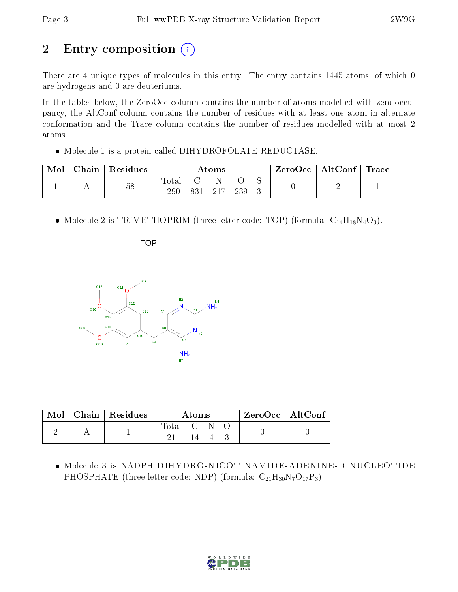# 2 Entry composition (i)

There are 4 unique types of molecules in this entry. The entry contains 1445 atoms, of which 0 are hydrogens and 0 are deuteriums.

In the tables below, the ZeroOcc column contains the number of atoms modelled with zero occupancy, the AltConf column contains the number of residues with at least one atom in alternate conformation and the Trace column contains the number of residues modelled with at most 2 atoms.

• Molecule 1 is a protein called DIHYDROFOLATE REDUCTASE.

| Mol | ${\rm Chain} \parallel$ | $\perp$ Residues | Atoms                  |     |  | $ZeroOcc \   \ AltConf \  $ | Trace |  |  |
|-----|-------------------------|------------------|------------------------|-----|--|-----------------------------|-------|--|--|
|     |                         | 158              | $\text{Total}$<br>1290 | 831 |  | 239                         |       |  |  |

• Molecule 2 is TRIMETHOPRIM (three-letter code: TOP) (formula:  $C_{14}H_{18}N_4O_3$ ).



| $\text{Mol}$ |  | $\mid$ Chain $\mid$ Residues | Atoms     |     |  |  | ZeroOcc   AltConf |
|--------------|--|------------------------------|-----------|-----|--|--|-------------------|
|              |  |                              | Total C N |     |  |  |                   |
|              |  |                              |           | 14. |  |  |                   |

• Molecule 3 is NADPH DIHYDRO-NICOTINAMIDE-ADENINE-DINUCLEOTIDE PHOSPHATE (three-letter code: NDP) (formula:  $C_{21}H_{30}N_7O_{17}P_3$ ).

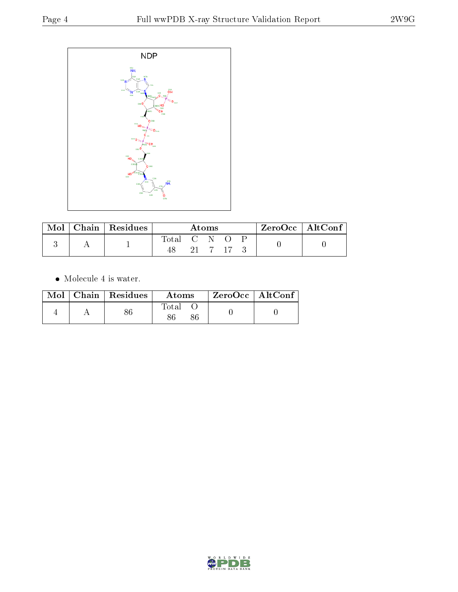

| Mol | $Chain$ Residues | Atoms       |  |         |  | $\rm ZeroOcc$   $\rm AltConf$ |  |
|-----|------------------|-------------|--|---------|--|-------------------------------|--|
|     |                  | Total C N O |  | 21 7 17 |  |                               |  |

 $\bullet\,$  Molecule 4 is water.

|  | $Mol$   Chain   Residues | Atoms | ZeroOcc   AltConf |  |
|--|--------------------------|-------|-------------------|--|
|  |                          | Total |                   |  |

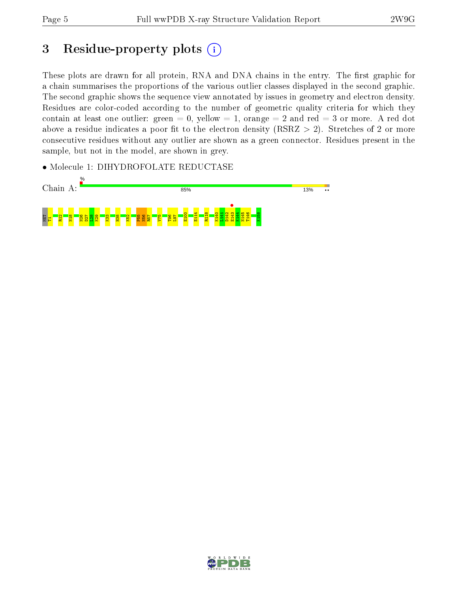# 3 Residue-property plots  $(i)$

These plots are drawn for all protein, RNA and DNA chains in the entry. The first graphic for a chain summarises the proportions of the various outlier classes displayed in the second graphic. The second graphic shows the sequence view annotated by issues in geometry and electron density. Residues are color-coded according to the number of geometric quality criteria for which they contain at least one outlier: green  $= 0$ , yellow  $= 1$ , orange  $= 2$  and red  $= 3$  or more. A red dot above a residue indicates a poor fit to the electron density (RSRZ  $> 2$ ). Stretches of 2 or more consecutive residues without any outlier are shown as a green connector. Residues present in the sample, but not in the model, are shown in grey.

• Molecule 1: DIHYDROFOLATE REDUCTASE



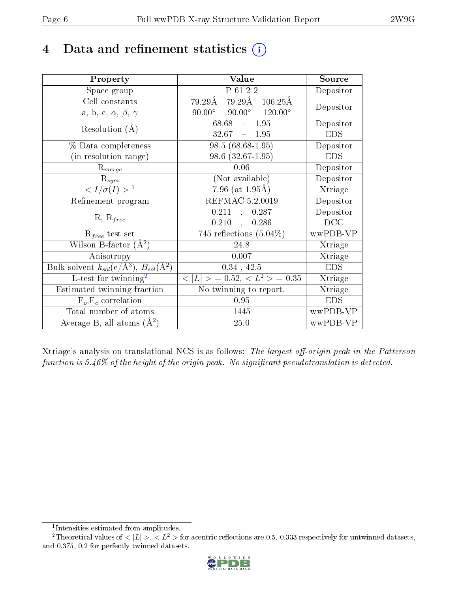# 4 Data and refinement statistics  $(i)$

| Property                                                             | Value                                                  | Source     |
|----------------------------------------------------------------------|--------------------------------------------------------|------------|
| Space group                                                          | P 61 2 2                                               | Depositor  |
| Cell constants                                                       | $79.29\text{\AA}$ $79.29\text{\AA}$ $106.25\text{\AA}$ | Depositor  |
| a, b, c, $\alpha$ , $\beta$ , $\gamma$                               | $90.00^{\circ}$ $90.00^{\circ}$ $120.00^{\circ}$       |            |
| Resolution $(A)$                                                     | 68.68<br>$-1.95$                                       | Depositor  |
|                                                                      | $32.67 - 1.95$                                         | <b>EDS</b> |
| $\%$ Data completeness                                               | $98.5(68.68-1.95)$                                     | Depositor  |
| (in resolution range)                                                | 98.6 (32.67-1.95)                                      | <b>EDS</b> |
| $\mathrm{R}_{merge}$                                                 | 0.06                                                   | Depositor  |
| $\mathrm{R}_{sym}$                                                   | (Not available)                                        | Depositor  |
| $\langle I/\sigma(I) \rangle^{-1}$                                   | $7.96$ (at $1.95\text{\AA}$ )                          | Xtriage    |
| Refinement program                                                   | REFMAC 5.2.0019                                        | Depositor  |
|                                                                      | 0.211<br>0.287<br>$\sim$                               | Depositor  |
| $R, R_{free}$                                                        | $0.210$ ,<br>0.286                                     | DCC        |
| $R_{free}$ test set                                                  | 745 reflections $(5.04\%)$                             | wwPDB-VP   |
| Wilson B-factor $(A^2)$                                              | 24.8                                                   | Xtriage    |
| Anisotropy                                                           | 0.007                                                  | Xtriage    |
| Bulk solvent $k_{sol}(e/\mathring{A}^3)$ , $B_{sol}(\mathring{A}^2)$ | $0.34$ , 42.5                                          | <b>EDS</b> |
| L-test for $\overline{\text{twinning}}^2$                            | $< L >$ = 0.52, $< L^2 >$ = 0.35                       | Xtriage    |
| Estimated twinning fraction                                          | No twinning to report.                                 | Xtriage    |
| $\overline{F_o}, \overline{F_c}$ correlation                         | 0.95                                                   | <b>EDS</b> |
| Total number of atoms                                                | 1445                                                   | wwPDB-VP   |
| Average B, all atoms $(A^2)$                                         | 25.0                                                   | wwPDB-VP   |

Xtriage's analysis on translational NCS is as follows: The largest off-origin peak in the Patterson function is  $5.46\%$  of the height of the origin peak. No significant pseudotranslation is detected.

<sup>&</sup>lt;sup>2</sup>Theoretical values of  $\langle |L| \rangle$ ,  $\langle L^2 \rangle$  for acentric reflections are 0.5, 0.333 respectively for untwinned datasets, and 0.375, 0.2 for perfectly twinned datasets.



<span id="page-5-1"></span><span id="page-5-0"></span><sup>1</sup> Intensities estimated from amplitudes.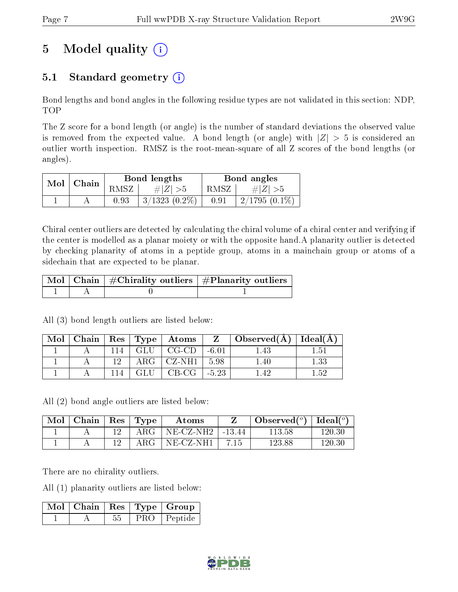# 5 Model quality  $(i)$

## 5.1 Standard geometry  $(i)$

Bond lengths and bond angles in the following residue types are not validated in this section: NDP, TOP

The Z score for a bond length (or angle) is the number of standard deviations the observed value is removed from the expected value. A bond length (or angle) with  $|Z| > 5$  is considered an outlier worth inspection. RMSZ is the root-mean-square of all Z scores of the bond lengths (or angles).

| Mol | $\mathbf \perp$ Chain |      | Bond lengths    | Bond angles |                 |  |
|-----|-----------------------|------|-----------------|-------------|-----------------|--|
|     |                       | RMSZ | # $ Z  > 5$     | RMSZ        | # $ Z  > 5$     |  |
|     |                       | 0.93 | $3/1323(0.2\%)$ | 0.91        | $2/1795(0.1\%)$ |  |

Chiral center outliers are detected by calculating the chiral volume of a chiral center and verifying if the center is modelled as a planar moiety or with the opposite hand.A planarity outlier is detected by checking planarity of atoms in a peptide group, atoms in a mainchain group or atoms of a sidechain that are expected to be planar.

|  | $\mid$ Mol $\mid$ Chain $\mid$ #Chirality outliers $\mid$ #Planarity outliers $\mid$ |
|--|--------------------------------------------------------------------------------------|
|  |                                                                                      |

All (3) bond length outliers are listed below:

| Mol |    |     | ${\rm Chain \mid Res \mid Type \mid Atoms}$ |         | $Z \perp$ Observed $(A) \perp$ | Ideal $(A)$ |
|-----|----|-----|---------------------------------------------|---------|--------------------------------|-------------|
|     | 14 | GLU | $CG-CD$                                     | $-6.01$ | -45                            | 1.51        |
|     |    |     | $\rm ARG$   CZ-NH1                          | 5.98    | 1.40                           | $1.33\,$    |
|     |    | GLU | $CB-CG$                                     | $-5.23$ | $\pm 42$                       | 1.59        |

All (2) bond angle outliers are listed below:

| Mol | Chain | Res | $\mathbf{T}_{\mathbf{Y}\mathbf{P}}$ | Atoms        |          | Observed $(°)$ | . Ideal( $^o$ ) |
|-----|-------|-----|-------------------------------------|--------------|----------|----------------|-----------------|
|     |       |     | ${\rm ARG}$                         | $NE$ -CZ-NH2 | $-13.44$ | 113.58         | 120.30          |
|     |       |     | ${\rm ARG}$                         | $NE-CZ-NH1$  | 7.15     | 123.88         | 120.30          |

There are no chirality outliers.

All (1) planarity outliers are listed below:

|  |    |     | $\mid$ Mol $\mid$ Chain $\mid$ Res $\mid$ Type $\mid$ Group |
|--|----|-----|-------------------------------------------------------------|
|  | 55 | PRO | Peptide                                                     |

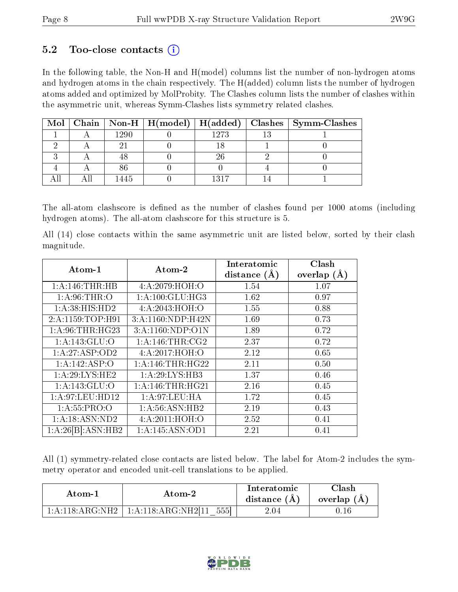### $5.2$  Too-close contacts  $(i)$

In the following table, the Non-H and H(model) columns list the number of non-hydrogen atoms and hydrogen atoms in the chain respectively. The H(added) column lists the number of hydrogen atoms added and optimized by MolProbity. The Clashes column lists the number of clashes within the asymmetric unit, whereas Symm-Clashes lists symmetry related clashes.

|  |      | Mol   Chain   Non-H   H(model)   H(added) |      | Clashes   Symm-Clashes |
|--|------|-------------------------------------------|------|------------------------|
|  | 1290 |                                           | 1273 |                        |
|  |      |                                           |      |                        |
|  |      |                                           | 26   |                        |
|  |      |                                           |      |                        |
|  | 1445 |                                           | 1317 |                        |

The all-atom clashscore is defined as the number of clashes found per 1000 atoms (including hydrogen atoms). The all-atom clashscore for this structure is 5.

All (14) close contacts within the same asymmetric unit are listed below, sorted by their clash magnitude.

| $Atom-1$                   | Atom-2            | Interatomic    | Clash         |
|----------------------------|-------------------|----------------|---------------|
|                            |                   | distance $(A)$ | overlap $(A)$ |
| 1: A:146:THR:HB            | 4:A:2079:HOH:O    | 1.54           | 1.07          |
| 1: A:96:THR:O              | 1: A:100: GLU:HG3 | 1.62           | 0.97          |
| 1: A:38: HIS: HD2          | 4:A:2043:HOH:O    | 1.55           | 0.88          |
| 2:A:1159:TOP:H91           | 3:A:1160:NDP:H42N | 1.69           | 0.73          |
| 1: A:96:THR:HG23           | 3:A:1160:NDP:O1N  | 1.89           | 0.72          |
| $1:A:143:GL\overline{U:O}$ | 1: A:146:THR:CG2  | 2.37           | 0.72          |
| 1:A:27:ASP:OD2             | 4:A:2017:HOH:O    | 2.12           | 0.65          |
| $1:A:142:AS\overline{P:O}$ | 1: A:146:THR:HG22 | 2.11           | 0.50          |
| 1: A:29: LYS: HE2          | 1: A:29: LYS:HB3  | 1.37           | 0.46          |
| 1:A:143:GLU:O              | 1: A:146:THR:HG21 | 2.16           | 0.45          |
| 1: A:97: LEU: HD12         | 1:A:97:LEU:HA     | 1.72           | 0.45          |
| 1: A: 55: PRO:O            | 1: A:56: ASN:HB2  | 2.19           | 0.43          |
| 1:A:18:ASN:ND2             | 4: A:2011:HOH:O   | 2.52           | 0.41          |
| 1:A:26[B]:ASN:HB2          | 1:A:145:ASN:OD1   | 2.21           | 0.41          |

All (1) symmetry-related close contacts are listed below. The label for Atom-2 includes the symmetry operator and encoded unit-cell translations to be applied.

| Atom-1                                    | Atom-2                        | Interatomic<br>distance $(A)$ | <b>Clash</b><br>overlap (A |
|-------------------------------------------|-------------------------------|-------------------------------|----------------------------|
| $1 \cdot A \cdot 118 \cdot ARG \cdot NH2$ | 5551<br>1: A:118: ARG:NH2[11] | 2.04                          |                            |

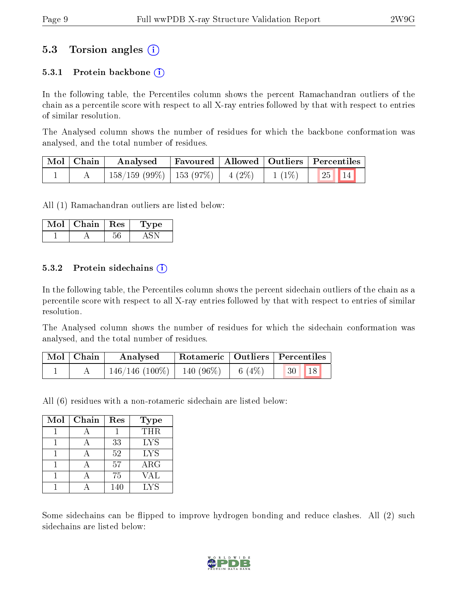### 5.3 Torsion angles (i)

#### 5.3.1 Protein backbone  $(i)$

In the following table, the Percentiles column shows the percent Ramachandran outliers of the chain as a percentile score with respect to all X-ray entries followed by that with respect to entries of similar resolution.

The Analysed column shows the number of residues for which the backbone conformation was analysed, and the total number of residues.

| Mol   Chain | Analysed                                |  |          | Favoured   Allowed   Outliers   Percentiles |  |
|-------------|-----------------------------------------|--|----------|---------------------------------------------|--|
|             | $158/159$ (99\%)   153 (97\%)   4 (2\%) |  | $1(1\%)$ | 25 14                                       |  |

All (1) Ramachandran outliers are listed below:

| Mol | $Chain$ | ${\rm Res}$ | 'De |
|-----|---------|-------------|-----|
|     |         |             |     |

#### 5.3.2 Protein sidechains  $\hat{I}$

In the following table, the Percentiles column shows the percent sidechain outliers of the chain as a percentile score with respect to all X-ray entries followed by that with respect to entries of similar resolution.

The Analysed column shows the number of residues for which the sidechain conformation was analysed, and the total number of residues.

| Mol   Chain | Analysed                       |          | Rotameric   Outliers   Percentiles |  |
|-------------|--------------------------------|----------|------------------------------------|--|
|             | $146/146$ (100\%)   140 (96\%) | 6 $(4%)$ | 18 <br> 30                         |  |

All (6) residues with a non-rotameric sidechain are listed below:

| Mol | Chain | Res | <b>Type</b> |
|-----|-------|-----|-------------|
|     |       |     | <b>THR</b>  |
|     |       | 33  | <b>LYS</b>  |
|     |       | 52  | <b>LYS</b>  |
|     |       | 57  | $\rm{ARG}$  |
|     |       | 75  | VAL         |
|     |       | 140 | LYS         |

Some sidechains can be flipped to improve hydrogen bonding and reduce clashes. All (2) such sidechains are listed below:

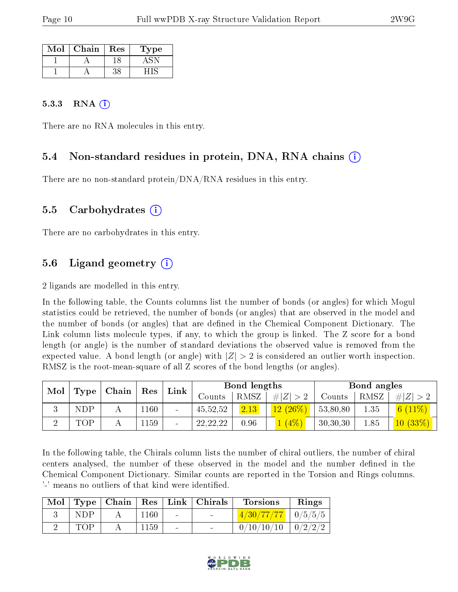| Mol | Chain | Res | 1'ype |
|-----|-------|-----|-------|
|     |       |     |       |
|     |       |     |       |

#### 5.3.3 RNA  $(i)$

There are no RNA molecules in this entry.

#### 5.4 Non-standard residues in protein, DNA, RNA chains (i)

There are no non-standard protein/DNA/RNA residues in this entry.

#### 5.5 Carbohydrates (i)

There are no carbohydrates in this entry.

### 5.6 Ligand geometry  $(i)$

2 ligands are modelled in this entry.

In the following table, the Counts columns list the number of bonds (or angles) for which Mogul statistics could be retrieved, the number of bonds (or angles) that are observed in the model and the number of bonds (or angles) that are defined in the Chemical Component Dictionary. The Link column lists molecule types, if any, to which the group is linked. The Z score for a bond length (or angle) is the number of standard deviations the observed value is removed from the expected value. A bond length (or angle) with  $|Z| > 2$  is considered an outlier worth inspection. RMSZ is the root-mean-square of all Z scores of the bond lengths (or angles).

| Mol |      |  |      |                              |            | Chain |             |          |          |                           |  |  |  |  |  |  | Bond lengths |  |  |  | Bond angles |  |
|-----|------|--|------|------------------------------|------------|-------|-------------|----------|----------|---------------------------|--|--|--|--|--|--|--------------|--|--|--|-------------|--|
|     | Type |  | Res  | Link                         | Counts     | RMSZ  | # $ Z  > 2$ | Counts   | RMSZ     | H Z                       |  |  |  |  |  |  |              |  |  |  |             |  |
|     | NDP  |  | 1160 | $\qquad \qquad \blacksquare$ | 45,52,52   | 2.13  | $12(26\%)$  | 53,80,80 | $1.35\,$ | 6 <sup>1</sup><br>$11\%)$ |  |  |  |  |  |  |              |  |  |  |             |  |
|     | TOP  |  | 1159 | -                            | 22, 22, 22 | 0.96  | (4%)        | 30,30,30 | 1.85     | $10(33\%)$                |  |  |  |  |  |  |              |  |  |  |             |  |

In the following table, the Chirals column lists the number of chiral outliers, the number of chiral centers analysed, the number of these observed in the model and the number defined in the Chemical Component Dictionary. Similar counts are reported in the Torsion and Rings columns. '-' means no outliers of that kind were identified.

| Mol |     | $\vert$ Type $\vert$ Chain $\vert$ |      |        | Res   Link   Chirals     | <b>Torsions</b>                                                  | Rings |
|-----|-----|------------------------------------|------|--------|--------------------------|------------------------------------------------------------------|-------|
|     | NDP |                                    | 1160 | $\sim$ | <b>Contract Contract</b> | $\left[ \frac{4/30}{77/77} \right] \left[ \frac{0}{5/5} \right]$ |       |
|     | TOP |                                    | 1159 |        |                          | $0/10/10/10$   $0/2/2/2$                                         |       |

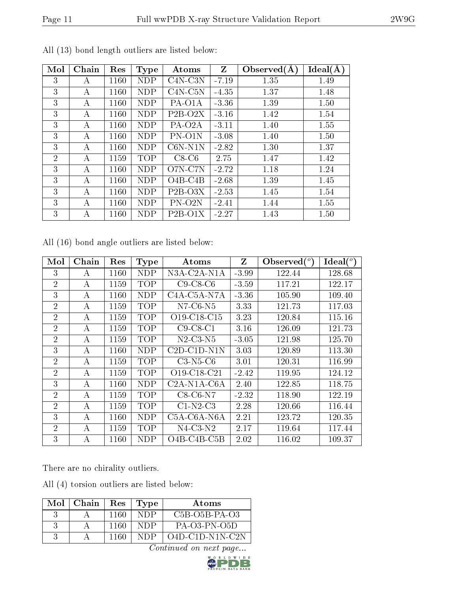| r. |  |
|----|--|
|    |  |

| Mol            | Chain | Res  | <b>Type</b> | Atoms               | Z       | Observed $(A)$ | Ideal(A) |
|----------------|-------|------|-------------|---------------------|---------|----------------|----------|
| 3              | A     | 1160 | <b>NDP</b>  | $C4N-C3N$           | $-7.19$ | 1.35           | 1.49     |
| 3              | А     | 1160 | <b>NDP</b>  | $C4N-C5N$           | $-4.35$ | 1.37           | 1.48     |
| 3              | А     | 1160 | NDP         | PA-O1A              | $-3.36$ | 1.39           | 1.50     |
| 3              | А     | 1160 | <b>NDP</b>  | $P2B-O2X$           | $-3.16$ | 1.42           | 1.54     |
| 3              | А     | 1160 | <b>NDP</b>  | PA-O <sub>2</sub> A | $-3.11$ | 1.40           | 1.55     |
| 3              | А     | 1160 | <b>NDP</b>  | PN-O1N              | $-3.08$ | 1.40           | 1.50     |
| 3              | А     | 1160 | <b>NDP</b>  | $C6N-N1N$           | $-2.82$ | 1.30           | 1.37     |
| $\overline{2}$ | А     | 1159 | <b>TOP</b>  | $C8-C6$             | 2.75    | 1.47           | 1.42     |
| 3              | А     | 1160 | <b>NDP</b>  | O7N-C7N             | $-2.72$ | 1.18           | 1.24     |
| 3              | A     | 1160 | <b>NDP</b>  | $O4B-C4B$           | $-2.68$ | 1.39           | 1.45     |
| 3              | А     | 1160 | <b>NDP</b>  | $P2B-O3X$           | $-2.53$ | 1.45           | 1.54     |
| 3              | А     | 1160 | <b>NDP</b>  | PN-O2N              | $-2.41$ | 1.44           | 1.55     |
| 3              | А     | 1160 | NDP         | $P2B-O1X$           | $-2.27$ | 1.43           | 1.50     |

All (13) bond length outliers are listed below:

All (16) bond angle outliers are listed below:

| Mol            | Chain | Res      | Type       | Atoms                                              | $Z_{\rm}$ | Observed $(°)$ | Ideal $(^\circ)$ |
|----------------|-------|----------|------------|----------------------------------------------------|-----------|----------------|------------------|
| 3              | А     | 1160     | NDP        | N3A-C2A-N1A                                        | $-3.99$   | 122.44         | 128.68           |
| $\overline{2}$ | А     | 1159     | <b>TOP</b> | $C9-C8-C6$                                         | $-3.59$   | 117.21         | 122.17           |
| 3              | А     | 1160     | NDP        | C <sub>4</sub> A-C <sub>5</sub> A-N <sub>7</sub> A | $-3.36$   | 105.90         | 109.40           |
| $\overline{2}$ | А     | 1159     | <b>TOP</b> | $N7-C6-N5$                                         | 3.33      | 121.73         | 117.03           |
| $\overline{2}$ | А     | 1159     | <b>TOP</b> | O <sub>19</sub> -C <sub>18</sub> -C <sub>15</sub>  | 3.23      | 120.84         | 115.16           |
| $\overline{2}$ | A     | 1159     | <b>TOP</b> | $C9-C8-C1$                                         | 3.16      | 126.09         | 121.73           |
| $\overline{2}$ | А     | 1159     | <b>TOP</b> | N2-C3-N5                                           | $-3.05$   | 121.98         | 125.70           |
| 3              | А     | 1160     | NDP        | $C2D-C1D-N1N$                                      | 3.03      | 120.89         | 113.30           |
| $\overline{2}$ | А     | 1159     | <b>TOP</b> | $C3-N5-C6$                                         | 3.01      | 120.31         | 116.99           |
| $\overline{2}$ | А     | 1159     | <b>TOP</b> | $O19 - C18 - C21$                                  | $-2.42$   | 119.95         | 124.12           |
| 3              | А     | 1160     | NDP        | $C2A-N1A-C6A$                                      | 2.40      | 122.85         | 118.75           |
| $\overline{2}$ | А     | 1159     | TOP        | $C8-C6-N7$                                         | $-2.32$   | 118.90         | 122.19           |
| $\overline{2}$ | А     | 1159     | <b>TOP</b> | $C1-N2-C3$                                         | 2.28      | 120.66         | 116.44           |
| 3              | А     | 1160     | NDP        | $C5A-C6A-NGA$                                      | 2.21      | 123.72         | 120.35           |
| $\overline{2}$ | А     | 1159     | TOP        | $N4$ -C3- $N2$                                     | 2.17      | 119.64         | 117.44           |
| 3              | А     | $1160\,$ | NDP        | $O4B-C4B-C5B$                                      | 2.02      | 116.02         | 109.37           |

There are no chirality outliers.

All (4) torsion outliers are listed below:

| Mol | - Chain | <b>Res</b> | Type | Atoms             |
|-----|---------|------------|------|-------------------|
|     |         | 1160       | NDP  | $C5B-05B-PA-03$   |
|     |         | 1160       | NDP  | $PA-O3-PN-O5D$    |
|     |         | 1160       | NDP  | $O4D-ClD-N1N-ClN$ |

 $Continued$  on next page...

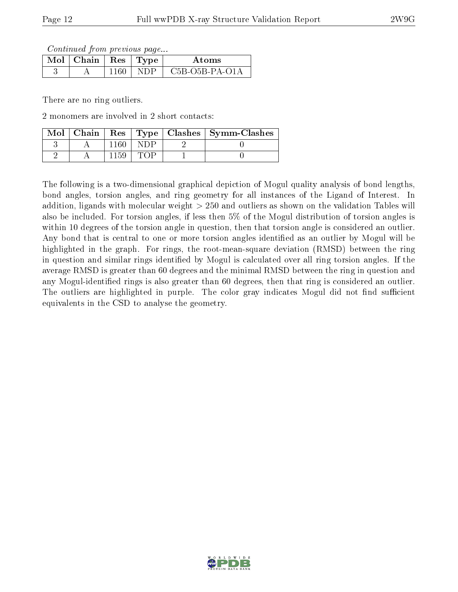Continued from previous page...

| $\overline{\text{Mol}} \top \text{Chain} \parallel \text{Res} \parallel \text{Type} \parallel$ |     |     | Atoms            |
|------------------------------------------------------------------------------------------------|-----|-----|------------------|
|                                                                                                | 160 | NDP | $C5B-O5B-PA-O1A$ |

There are no ring outliers.

2 monomers are involved in 2 short contacts:

| Mol | Chain | $\operatorname{Res}$ |  | $\mid$ Type $\mid$ Clashes $\mid$ Symm-Clashes |
|-----|-------|----------------------|--|------------------------------------------------|
|     |       |                      |  |                                                |
|     |       |                      |  |                                                |

The following is a two-dimensional graphical depiction of Mogul quality analysis of bond lengths, bond angles, torsion angles, and ring geometry for all instances of the Ligand of Interest. In addition, ligands with molecular weight > 250 and outliers as shown on the validation Tables will also be included. For torsion angles, if less then 5% of the Mogul distribution of torsion angles is within 10 degrees of the torsion angle in question, then that torsion angle is considered an outlier. Any bond that is central to one or more torsion angles identified as an outlier by Mogul will be highlighted in the graph. For rings, the root-mean-square deviation (RMSD) between the ring in question and similar rings identified by Mogul is calculated over all ring torsion angles. If the average RMSD is greater than 60 degrees and the minimal RMSD between the ring in question and any Mogul-identified rings is also greater than 60 degrees, then that ring is considered an outlier. The outliers are highlighted in purple. The color gray indicates Mogul did not find sufficient equivalents in the CSD to analyse the geometry.

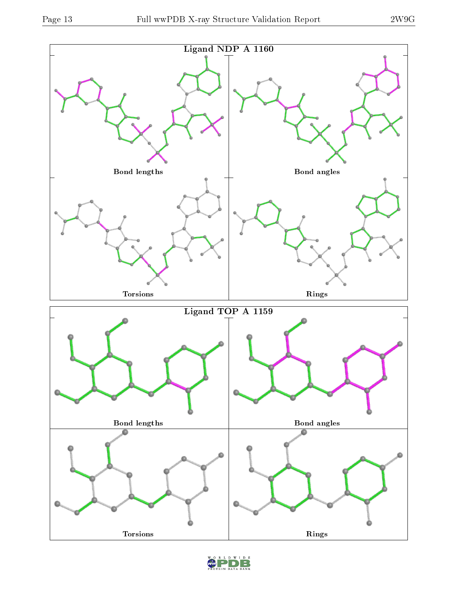

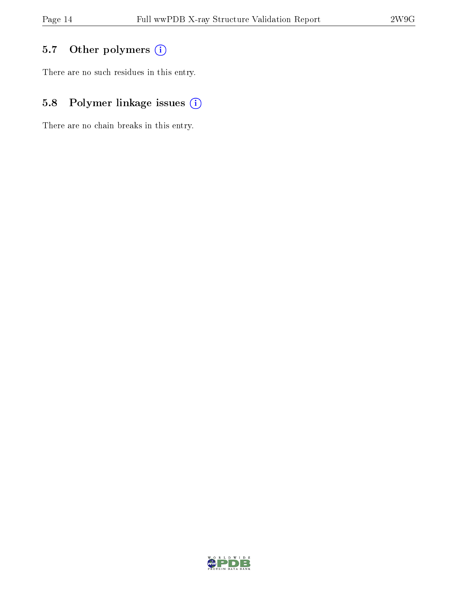## 5.7 [O](https://www.wwpdb.org/validation/2017/XrayValidationReportHelp#nonstandard_residues_and_ligands)ther polymers (i)

There are no such residues in this entry.

## 5.8 Polymer linkage issues (i)

There are no chain breaks in this entry.

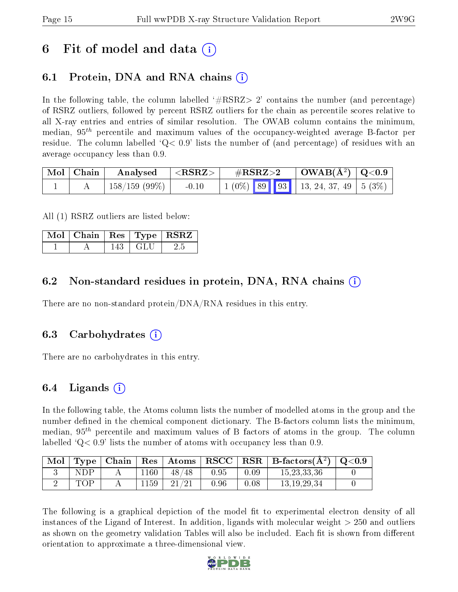# 6 Fit of model and data  $\left( \cdot \right)$

### 6.1 Protein, DNA and RNA chains (i)

In the following table, the column labelled  $#RSRZ> 2'$  contains the number (and percentage) of RSRZ outliers, followed by percent RSRZ outliers for the chain as percentile scores relative to all X-ray entries and entries of similar resolution. The OWAB column contains the minimum, median,  $95<sup>th</sup>$  percentile and maximum values of the occupancy-weighted average B-factor per residue. The column labelled  $Q < 0.9$  lists the number of (and percentage) of residues with an average occupancy less than 0.9.

| $\vert$ Mol $\vert$ Chain $\vert$ | $\mid$ Analysed $\mid$ <rsrz> <math>\mid</math></rsrz> |         | $\rm \#RSRZ{>}2$ |  | $\vert$ OWAB(Å <sup>2</sup> ) $\vert$ Q<0.9 |                                                                               |  |
|-----------------------------------|--------------------------------------------------------|---------|------------------|--|---------------------------------------------|-------------------------------------------------------------------------------|--|
|                                   | $\pm 158/159$ (99%) $\pm$                              | $-0.10$ |                  |  |                                             | $\mid 1 \ (0\%) \ \n\mid 89 \ \mid 93 \ \mid 13, 24, 37, 49 \ \mid 5 \ (3\%)$ |  |

All (1) RSRZ outliers are listed below:

|  |     |       | $\boxed{\text{ Mol } \text{ Chain } $ Res $ \text{ Type } $ RSRZ $ $ |
|--|-----|-------|----------------------------------------------------------------------|
|  | 143 | - GLU |                                                                      |

### 6.2 Non-standard residues in protein, DNA, RNA chains (i)

There are no non-standard protein/DNA/RNA residues in this entry.

#### 6.3 Carbohydrates (i)

There are no carbohydrates in this entry.

### 6.4 Ligands  $(i)$

In the following table, the Atoms column lists the number of modelled atoms in the group and the number defined in the chemical component dictionary. The B-factors column lists the minimum, median,  $95<sup>th</sup>$  percentile and maximum values of B factors of atoms in the group. The column labelled  $Q< 0.9$  lists the number of atoms with occupancy less than 0.9.

| Mol |     | Type   Chain |       |           |          |      | $\mid$ Res $\mid$ Atoms $\mid$ RSCC $\mid$ RSR $\mid$ B-factors(A <sup>2</sup> ) $\mid$ Q<0.9 |  |
|-----|-----|--------------|-------|-----------|----------|------|-----------------------------------------------------------------------------------------------|--|
|     | NDP |              | l 160 | 48/<br>48 | 0.95     | 0.09 | 15, 23, 33, 36                                                                                |  |
|     | TOP |              | 1159  | 21/21     | $0.96\,$ | 0.08 | 13, 19, 29, 34                                                                                |  |

The following is a graphical depiction of the model fit to experimental electron density of all instances of the Ligand of Interest. In addition, ligands with molecular weight  $> 250$  and outliers as shown on the geometry validation Tables will also be included. Each fit is shown from different orientation to approximate a three-dimensional view.

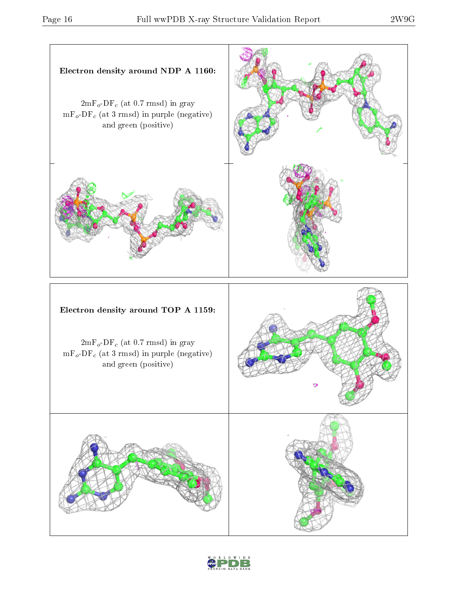